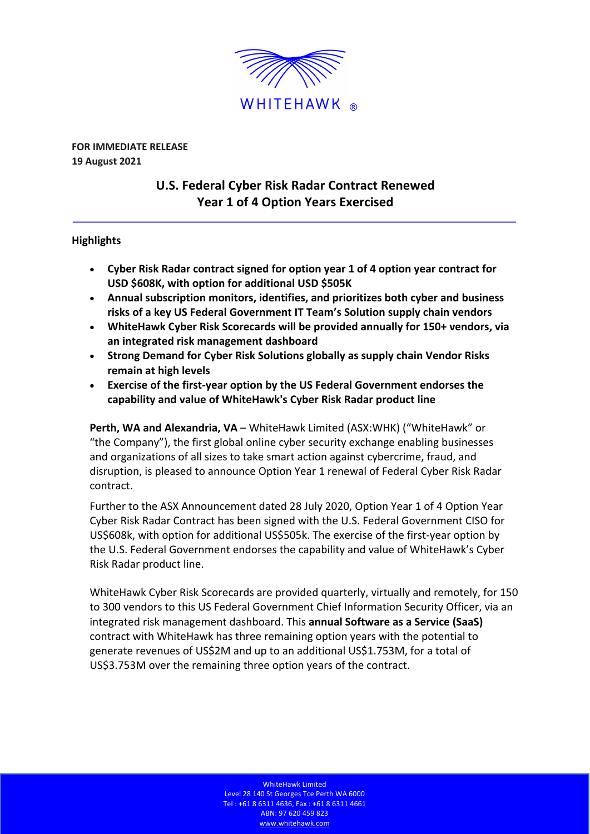

**FOR IMMEDIATE RELEASE 19 August 2021**

# **U.S. Federal Cyber Risk Radar Contract Renewed Year 1 of 4 Option Years Exercised**

## **Highlights**

- **Cyber Risk Radar contract signed for option year 1 of 4 option year contract for USD \$608K, with option for additional USD \$505K**
- **Annual subscription monitors, identifies, and prioritizes both cyber and business risks of a key US Federal Government IT Team's Solution supply chain vendors**
- **WhiteHawk Cyber Risk Scorecards will be provided annually for 150+ vendors, via an integrated risk management dashboard**
- **Strong Demand for Cyber Risk Solutions globally as supply chain Vendor Risks remain at high levels**
- **Exercise of the first-year option by the US Federal Government endorses the capability and value of WhiteHawk's Cyber Risk Radar product line**

**Perth, WA and Alexandria, VA** – WhiteHawk Limited (ASX:WHK) ("WhiteHawk" or "the Company"), the first global online cyber security exchange enabling businesses and organizations of all sizes to take smart action against cybercrime, fraud, and disruption, is pleased to announce Option Year 1 renewal of Federal Cyber Risk Radar contract.

Further to the ASX Announcement dated 28 July 2020, Option Year 1 of 4 Option Year Cyber Risk Radar Contract has been signed with the U.S. Federal Government CISO for US\$608k, with option for additional US\$505k. The exercise of the first-year option by the U.S. Federal Government endorses the capability and value of WhiteHawk's Cyber Risk Radar product line.

WhiteHawk Cyber Risk Scorecards are provided quarterly, virtually and remotely, for 150 to 300 vendors to this US Federal Government Chief Information Security Officer, via an integrated risk management dashboard. This **annual Software as a Service (SaaS)**  contract with WhiteHawk has three remaining option years with the potential to generate revenues of US\$2M and up to an additional US\$1.753M, for a total of US\$3.753M over the remaining three option years of the contract.

> WhiteHawk Limited Level 28 140 St Georges Tce Perth WA 6000 Tel : +61 8 6311 4636, Fax : +61 8 6311 4661 ABN: 97 620 459 823 www.whitehawk.com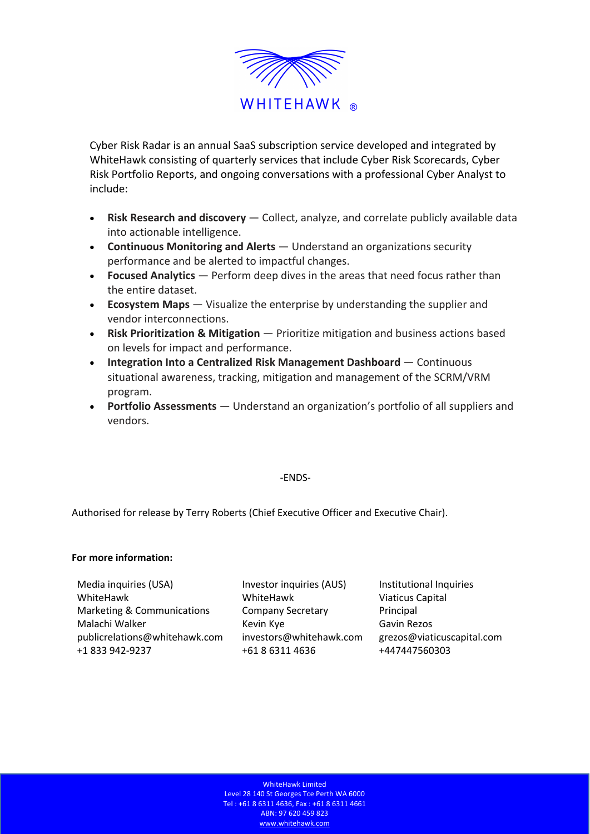

Cyber Risk Radar is an annual SaaS subscription service developed and integrated by WhiteHawk consisting of quarterly services that include Cyber Risk Scorecards, Cyber Risk Portfolio Reports, and ongoing conversations with a professional Cyber Analyst to include:

- **Risk Research and discovery**  Collect, analyze, and correlate publicly available data into actionable intelligence.
- **Continuous Monitoring and Alerts**  Understand an organizations security performance and be alerted to impactful changes.
- **Focused Analytics**  Perform deep dives in the areas that need focus rather than the entire dataset.
- **Ecosystem Maps** Visualize the enterprise by understanding the supplier and vendor interconnections.
- **Risk Prioritization & Mitigation**  Prioritize mitigation and business actions based on levels for impact and performance.
- **Integration Into a Centralized Risk Management Dashboard**  Continuous situational awareness, tracking, mitigation and management of the SCRM/VRM program.
- **Portfolio Assessments**  Understand an organization's portfolio of all suppliers and vendors.

### -ENDS-

Authorised for release by Terry Roberts (Chief Executive Officer and Executive Chair).

### **For more information:**

Media inquiries (USA) WhiteHawk Marketing & Communications Malachi Walker **Kevin Kye** Kevin Kye Gavin Rezos publicrelations@whitehawk.com investors@whitehawk.com grezos@viaticuscapital.com +1 833 942-9237 +61 8 6311 4636 +447447560303

Investor inquiries (AUS) WhiteHawk Company Secretary

Institutional Inquiries Viaticus Capital Principal

WhiteHawk Limited Level 28 140 St Georges Tce Perth WA 6000 Tel : +61 8 6311 4636, Fax : +61 8 6311 4661 ABN: 97 620 459 823 www.whitehawk.com